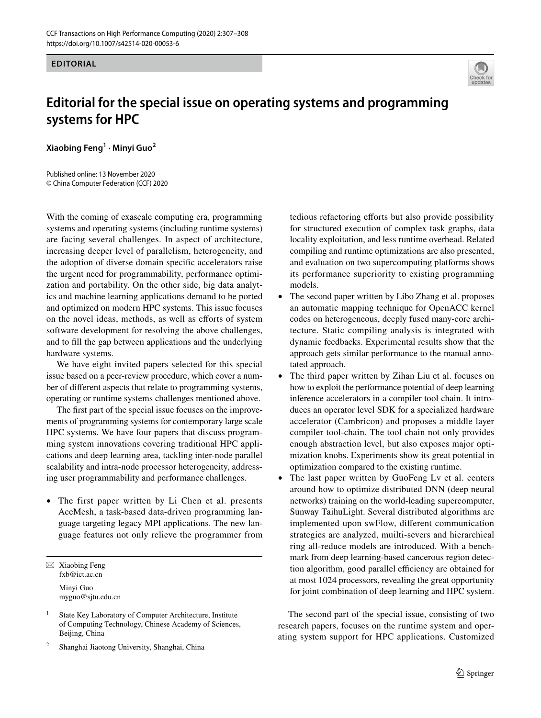## **EDITORIAL**



## **Editorial for the special issue on operating systems and programming systems for HPC**

**Xiaobing Feng<sup>1</sup> · Minyi Guo2**

Published online: 13 November 2020 © China Computer Federation (CCF) 2020

With the coming of exascale computing era, programming systems and operating systems (including runtime systems) are facing several challenges. In aspect of architecture, increasing deeper level of parallelism, heterogeneity, and the adoption of diverse domain specifc accelerators raise the urgent need for programmability, performance optimization and portability. On the other side, big data analytics and machine learning applications demand to be ported and optimized on modern HPC systems. This issue focuses on the novel ideas, methods, as well as efforts of system software development for resolving the above challenges, and to fll the gap between applications and the underlying hardware systems.

We have eight invited papers selected for this special issue based on a peer-review procedure, which cover a number of diferent aspects that relate to programming systems, operating or runtime systems challenges mentioned above.

The frst part of the special issue focuses on the improvements of programming systems for contemporary large scale HPC systems. We have four papers that discuss programming system innovations covering traditional HPC applications and deep learning area, tackling inter-node parallel scalability and intra-node processor heterogeneity, addressing user programmability and performance challenges.

• The first paper written by Li Chen et al. presents AceMesh, a task-based data-driven programming language targeting legacy MPI applications. The new language features not only relieve the programmer from

 $\boxtimes$  Xiaobing Feng fxb@ict.ac.cn

> Minyi Guo myguo@sjtu.edu.cn

<sup>1</sup> State Key Laboratory of Computer Architecture, Institute of Computing Technology, Chinese Academy of Sciences, Beijing, China

<sup>2</sup> Shanghai Jiaotong University, Shanghai, China

tedious refactoring efforts but also provide possibility for structured execution of complex task graphs, data locality exploitation, and less runtime overhead. Related compiling and runtime optimizations are also presented, and evaluation on two supercomputing platforms shows its performance superiority to existing programming models.

- The second paper written by Libo Zhang et al. proposes an automatic mapping technique for OpenACC kernel codes on heterogeneous, deeply fused many-core architecture. Static compiling analysis is integrated with dynamic feedbacks. Experimental results show that the approach gets similar performance to the manual annotated approach.
- The third paper written by Zihan Liu et al. focuses on how to exploit the performance potential of deep learning inference accelerators in a compiler tool chain. It introduces an operator level SDK for a specialized hardware accelerator (Cambricon) and proposes a middle layer compiler tool-chain. The tool chain not only provides enough abstraction level, but also exposes major optimization knobs. Experiments show its great potential in optimization compared to the existing runtime.
- The last paper written by GuoFeng Ly et al. centers around how to optimize distributed DNN (deep neural networks) training on the world-leading supercomputer, Sunway TaihuLight. Several distributed algorithms are implemented upon swFlow, diferent communication strategies are analyzed, muilti-severs and hierarchical ring all-reduce models are introduced. With a benchmark from deep learning-based cancerous region detection algorithm, good parallel efficiency are obtained for at most 1024 processors, revealing the great opportunity for joint combination of deep learning and HPC system.

The second part of the special issue, consisting of two research papers, focuses on the runtime system and operating system support for HPC applications. Customized